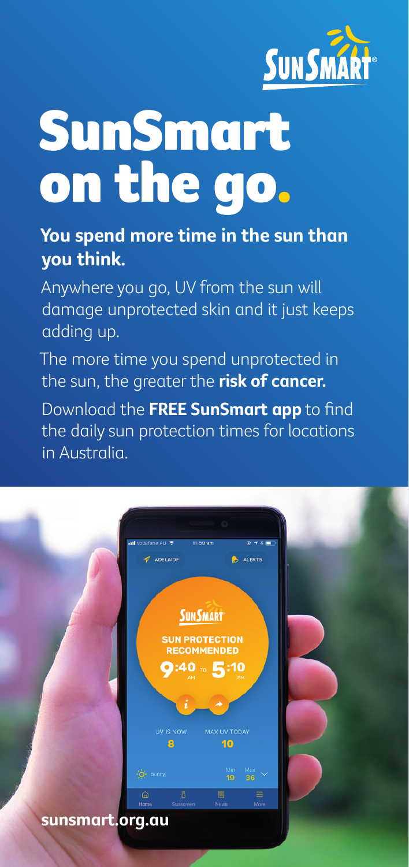

## SunSmart on the go.

## **You spend more time in the sun than you think.**

Anywhere you go, UV from the sun will damage unprotected skin and it just keeps adding up.

The more time you spend unprotected in the sun, the greater the **risk of cancer.**

Download the **FREE SunSmart app** to find the daily sun protection times for locations in Australia.